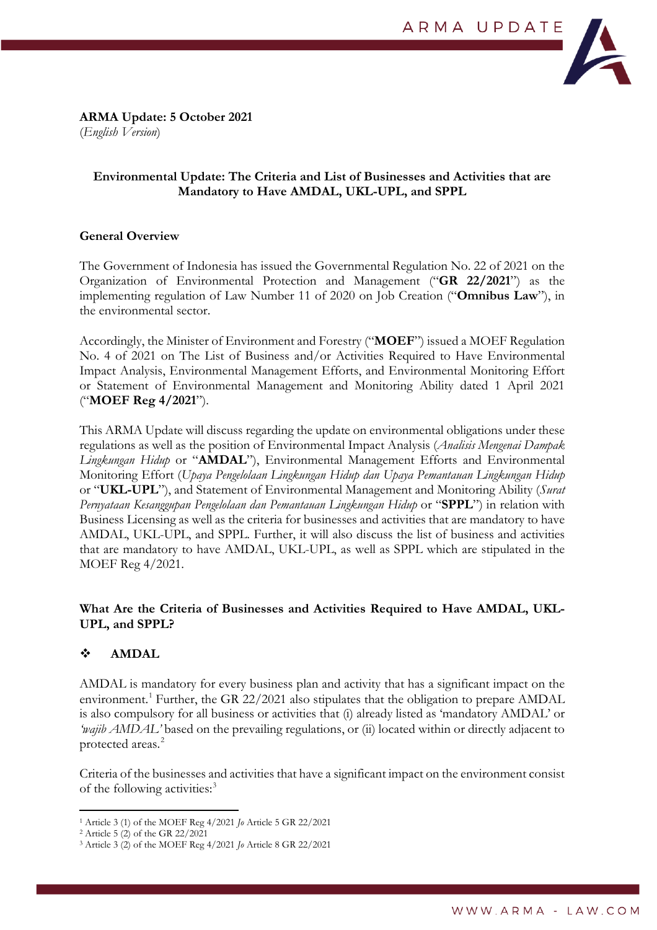

**ARMA Update: 5 October 2021**  (*English Version*)

# **Environmental Update: The Criteria and List of Businesses and Activities that are Mandatory to Have AMDAL, UKL-UPL, and SPPL**

# **General Overview**

The Government of Indonesia has issued the Governmental Regulation No. 22 of 2021 on the Organization of Environmental Protection and Management ("**GR 22/2021**") as the implementing regulation of Law Number 11 of 2020 on Job Creation ("**Omnibus Law**"), in the environmental sector.

Accordingly, the Minister of Environment and Forestry ("**MOEF**") issued a MOEF Regulation No. 4 of 2021 on The List of Business and/or Activities Required to Have Environmental Impact Analysis, Environmental Management Efforts, and Environmental Monitoring Effort or Statement of Environmental Management and Monitoring Ability dated 1 April 2021 ("**MOEF Reg 4/2021**").

This ARMA Update will discuss regarding the update on environmental obligations under these regulations as well as the position of Environmental Impact Analysis (*Analisis Mengenai Dampak Lingkungan Hidup* or "**AMDAL**"), Environmental Management Efforts and Environmental Monitoring Effort (*Upaya Pengelolaan Lingkungan Hidup dan Upaya Pemantauan Lingkungan Hidup*  or "**UKL-UPL**"), and Statement of Environmental Management and Monitoring Ability (*Surat Pernyataan Kesanggupan Pengelolaan dan Pemantauan Lingkungan Hidup* or "**SPPL**") in relation with Business Licensing as well as the criteria for businesses and activities that are mandatory to have AMDAL, UKL-UPL, and SPPL. Further, it will also discuss the list of business and activities that are mandatory to have AMDAL, UKL-UPL, as well as SPPL which are stipulated in the MOEF Reg 4/2021.

## **What Are the Criteria of Businesses and Activities Required to Have AMDAL, UKL-UPL, and SPPL?**

# **AMDAL**

AMDAL is mandatory for every business plan and activity that has a significant impact on the environment.<sup>[1](#page-0-0)</sup> Further, the GR 22/2021 also stipulates that the obligation to prepare AMDAL is also compulsory for all business or activities that (i) already listed as 'mandatory AMDAL' or *'wajib AMDAL'* based on the prevailing regulations, or (ii) located within or directly adjacent to protected areas.<sup>[2](#page-0-1)</sup>

Criteria of the businesses and activities that have a significant impact on the environment consist of the following activities:<sup>[3](#page-0-2)</sup>

<sup>1</sup> Article 3 (1) of the MOEF Reg 4/2021 *Jo* Article 5 GR 22/2021

<span id="page-0-1"></span><span id="page-0-0"></span><sup>2</sup> Article 5 (2) of the GR 22/2021

<span id="page-0-2"></span><sup>3</sup> Article 3 (2) of the MOEF Reg 4/2021 *Jo* Article 8 GR 22/2021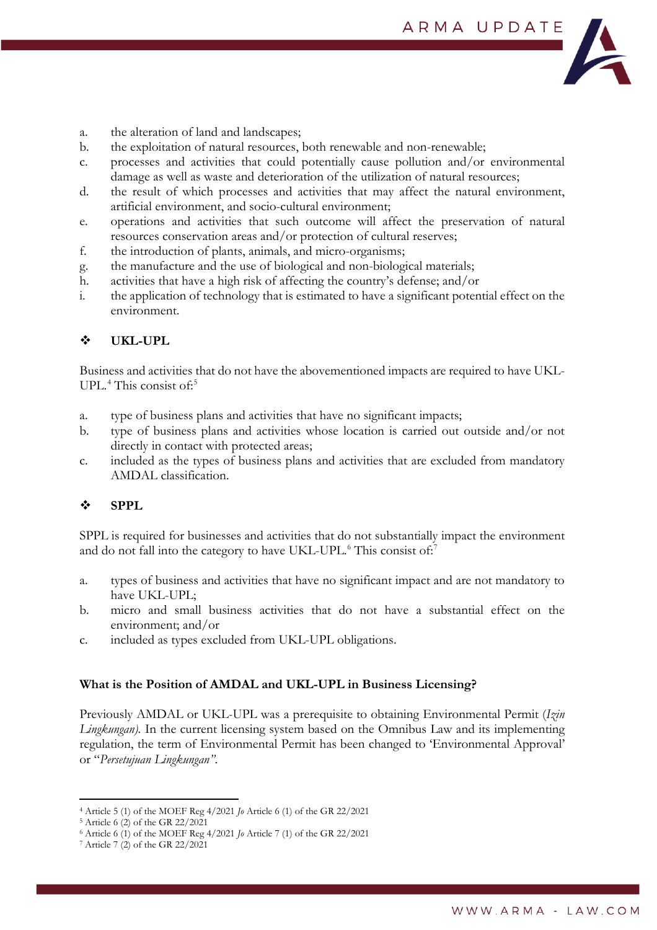

- a. the alteration of land and landscapes;
- b. the exploitation of natural resources, both renewable and non-renewable;
- c. processes and activities that could potentially cause pollution and/or environmental damage as well as waste and deterioration of the utilization of natural resources;
- d. the result of which processes and activities that may affect the natural environment, artificial environment, and socio-cultural environment;
- e. operations and activities that such outcome will affect the preservation of natural resources conservation areas and/or protection of cultural reserves;
- f. the introduction of plants, animals, and micro-organisms;
- g. the manufacture and the use of biological and non-biological materials;
- h. activities that have a high risk of affecting the country's defense; and/or
- i. the application of technology that is estimated to have a significant potential effect on the environment.

# **UKL-UPL**

Business and activities that do not have the abovementioned impacts are required to have UKL-UPL.<sup>[4](#page-1-0)</sup> This consist of:<sup>[5](#page-1-1)</sup>

- a. type of business plans and activities that have no significant impacts;
- b. type of business plans and activities whose location is carried out outside and/or not directly in contact with protected areas;
- c. included as the types of business plans and activities that are excluded from mandatory AMDAL classification.

# **SPPL**

SPPL is required for businesses and activities that do not substantially impact the environment and do not fall into the category to have UKL-UPL. $^6$  $^6$  This consist of:<sup>[7](#page-1-3)</sup>

- a. types of business and activities that have no significant impact and are not mandatory to have UKL-UPL;
- b. micro and small business activities that do not have a substantial effect on the environment; and/or
- c. included as types excluded from UKL-UPL obligations.

### **What is the Position of AMDAL and UKL-UPL in Business Licensing?**

Previously AMDAL or UKL-UPL was a prerequisite to obtaining Environmental Permit (*Izin Lingkungan).* In the current licensing system based on the Omnibus Law and its implementing regulation, the term of Environmental Permit has been changed to 'Environmental Approval' or "*Persetujuan Lingkungan"*.

<span id="page-1-0"></span><sup>4</sup> Article 5 (1) of the MOEF Reg 4/2021 *Jo* Article 6 (1) of the GR 22/2021

<span id="page-1-1"></span><sup>5</sup> Article 6 (2) of the GR 22/2021

<span id="page-1-2"></span><sup>6</sup> Article 6 (1) of the MOEF Reg 4/2021 *Jo* Article 7 (1) of the GR 22/2021

<span id="page-1-3"></span><sup>7</sup> Article 7 (2) of the GR 22/2021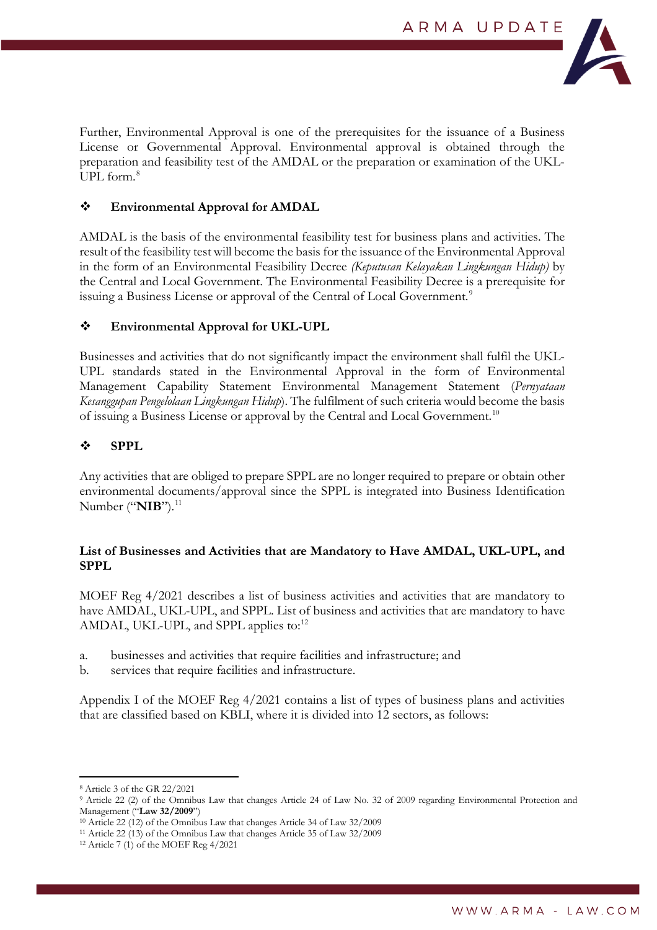

Further, Environmental Approval is one of the prerequisites for the issuance of a Business License or Governmental Approval. Environmental approval is obtained through the preparation and feasibility test of the AMDAL or the preparation or examination of the UKL-UPL form. $8$ 

## **Environmental Approval for AMDAL**

AMDAL is the basis of the environmental feasibility test for business plans and activities. The result of the feasibility test will become the basis for the issuance of the Environmental Approval in the form of an Environmental Feasibility Decree *(Keputusan Kelayakan Lingkungan Hidup)* by the Central and Local Government. The Environmental Feasibility Decree is a prerequisite for issuing a Business License or approval of the Central of Local Government.<sup>[9](#page-2-1)</sup>

#### **Environmental Approval for UKL-UPL**

Businesses and activities that do not significantly impact the environment shall fulfil the UKL-UPL standards stated in the Environmental Approval in the form of Environmental Management Capability Statement Environmental Management Statement (*Pernyataan Kesanggupan Pengelolaan Lingkungan Hidup*). The fulfilment of such criteria would become the basis of issuing a Business License or approval by the Central and Local Government.[10](#page-2-2)

#### **SPPL**

Any activities that are obliged to prepare SPPL are no longer required to prepare or obtain other environmental documents/approval since the SPPL is integrated into Business Identification Number ("**NIB**").<sup>[11](#page-2-3)</sup>

## **List of Businesses and Activities that are Mandatory to Have AMDAL, UKL-UPL, and SPPL**

MOEF Reg 4/2021 describes a list of business activities and activities that are mandatory to have AMDAL, UKL-UPL, and SPPL. List of business and activities that are mandatory to have AMDAL, UKL-UPL, and SPPL applies to:<sup>[12](#page-2-4)</sup>

- a. businesses and activities that require facilities and infrastructure; and
- b. services that require facilities and infrastructure.

Appendix I of the MOEF Reg 4/2021 contains a list of types of business plans and activities that are classified based on KBLI, where it is divided into 12 sectors, as follows:

<span id="page-2-0"></span><sup>8</sup> Article 3 of the GR 22/2021

<span id="page-2-1"></span><sup>9</sup> Article 22 (2) of the Omnibus Law that changes Article 24 of Law No. 32 of 2009 regarding Environmental Protection and Management ("**Law 32/2009**")

<span id="page-2-2"></span><sup>10</sup> Article 22 (12) of the Omnibus Law that changes Article 34 of Law 32/2009

<span id="page-2-3"></span><sup>11</sup> Article 22 (13) of the Omnibus Law that changes Article 35 of Law 32/2009

<span id="page-2-4"></span><sup>12</sup> Article 7 (1) of the MOEF Reg 4/2021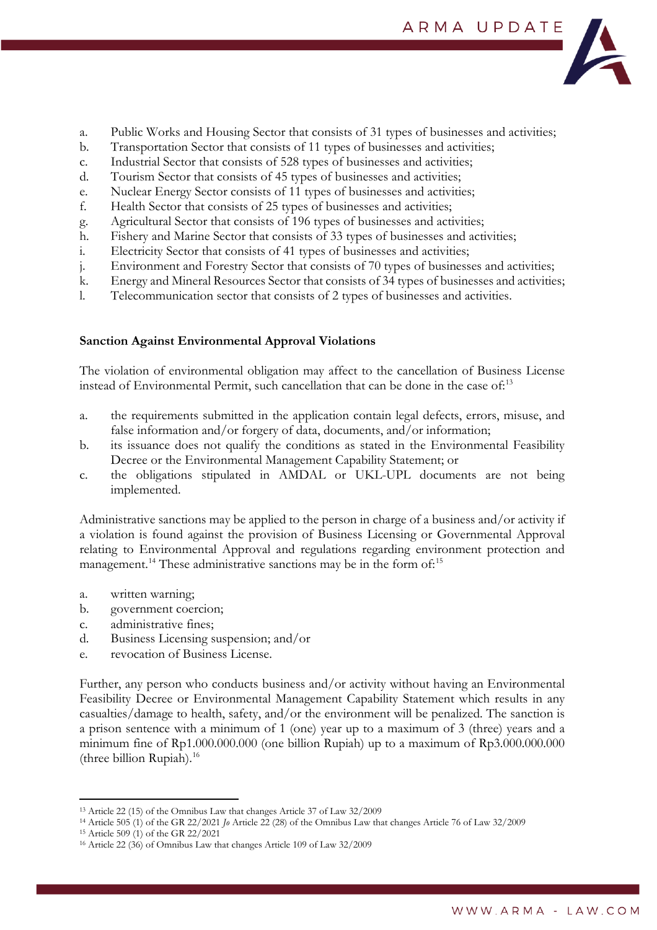

- a. Public Works and Housing Sector that consists of 31 types of businesses and activities;
- b. Transportation Sector that consists of 11 types of businesses and activities;
- c. Industrial Sector that consists of 528 types of businesses and activities;
- d. Tourism Sector that consists of 45 types of businesses and activities;
- e. Nuclear Energy Sector consists of 11 types of businesses and activities;
- f. Health Sector that consists of 25 types of businesses and activities;
- g. Agricultural Sector that consists of 196 types of businesses and activities;
- h. Fishery and Marine Sector that consists of 33 types of businesses and activities;
- i. Electricity Sector that consists of 41 types of businesses and activities;
- j. Environment and Forestry Sector that consists of 70 types of businesses and activities;
- k. Energy and Mineral Resources Sector that consists of 34 types of businesses and activities;
- l. Telecommunication sector that consists of 2 types of businesses and activities.

# **Sanction Against Environmental Approval Violations**

The violation of environmental obligation may affect to the cancellation of Business License instead of Environmental Permit, such cancellation that can be done in the case of.<sup>[13](#page-3-0)</sup>

- a. the requirements submitted in the application contain legal defects, errors, misuse, and false information and/or forgery of data, documents, and/or information;
- b. its issuance does not qualify the conditions as stated in the Environmental Feasibility Decree or the Environmental Management Capability Statement; or
- c. the obligations stipulated in AMDAL or UKL-UPL documents are not being implemented.

Administrative sanctions may be applied to the person in charge of a business and/or activity if a violation is found against the provision of Business Licensing or Governmental Approval relating to Environmental Approval and regulations regarding environment protection and management.<sup>[14](#page-3-1)</sup> These administrative sanctions may be in the form of:<sup>[15](#page-3-2)</sup>

- a. written warning;
- b. government coercion;
- c. administrative fines;
- d. Business Licensing suspension; and/or
- e. revocation of Business License.

Further, any person who conducts business and/or activity without having an Environmental Feasibility Decree or Environmental Management Capability Statement which results in any casualties/damage to health, safety, and/or the environment will be penalized. The sanction is a prison sentence with a minimum of 1 (one) year up to a maximum of 3 (three) years and a minimum fine of Rp1.000.000.000 (one billion Rupiah) up to a maximum of Rp3.000.000.000 (three billion Rupiah). $16$ 

<span id="page-3-0"></span><sup>13</sup> Article 22 (15) of the Omnibus Law that changes Article 37 of Law 32/2009

<span id="page-3-1"></span><sup>14</sup> Article 505 (1) of the GR 22/2021 *Jo* Article 22 (28) of the Omnibus Law that changes Article 76 of Law 32/2009

<span id="page-3-2"></span><sup>15</sup> Article 509 (1) of the GR 22/2021

<span id="page-3-3"></span><sup>16</sup> Article 22 (36) of Omnibus Law that changes Article 109 of Law 32/2009